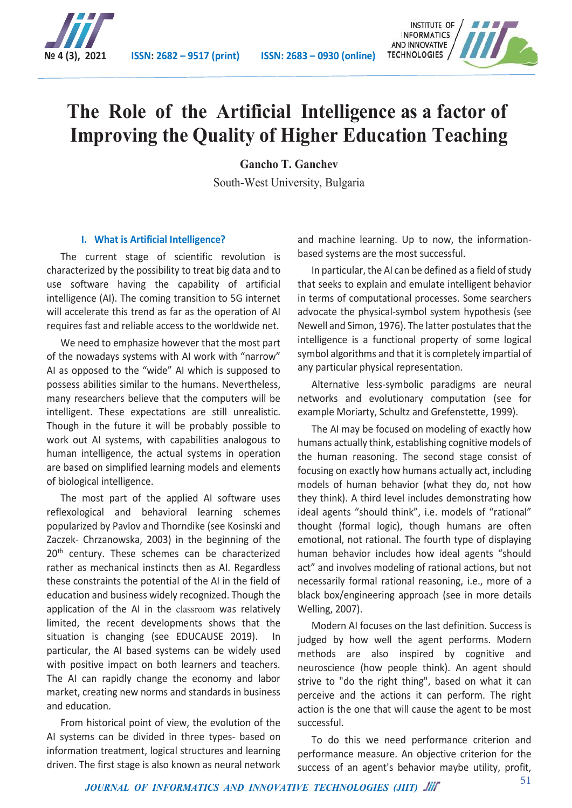

**№ 4 (3), 2021 ISSN: 2682 – 9517 (print) ISSN: 2683 – 0930 (online)**



# **The Role of the Artificial Intelligence as a factor of Improving the Quality of Higher Education Teaching**

**Gancho T. Ganchev**

South-West University, Bulgaria

### **I. What is Artificial Intelligence?**

The current stage of scientific revolution is characterized by the possibility to treat big data and to use software having the capability of artificial intelligence (AI). The coming transition to 5G internet will accelerate this trend as far as the operation of AI requires fast and reliable access to the worldwide net.

We need to emphasize however that the most part of the nowadays systems with AI work with "narrow" AI as opposed to the "wide" AI which is supposed to possess abilities similar to the humans. Nevertheless, many researchers believe that the computers will be intelligent. These expectations are still unrealistic. Though in the future it will be probably possible to work out AI systems, with capabilities analogous to human intelligence, the actual systems in operation are based on simplified learning models and elements of biological intelligence.

The most part of the applied AI software uses reflexological and behavioral learning schemes popularized by Pavlov and Thorndike (see Kosinski and Zaczek- Chrzanowska, 2003) in the beginning of the 20<sup>th</sup> century. These schemes can be characterized rather as mechanical instincts then as AI. Regardless these constraints the potential of the AI in the field of education and business widely recognized. Though the application of the AI in the classroom was relatively limited, the recent developments shows that the situation is changing (see EDUCAUSE 2019). In particular, the AI based systems can be widely used with positive impact on both learners and teachers. The AI can rapidly change the economy and labor market, creating new norms and standards in business and education.

From historical point of view, the evolution of the AI systems can be divided in three types- based on information treatment, logical structures and learning driven. The first stage is also known as neural network

and machine learning. Up to now, the informationbased systems are the most successful.

In particular, the AI can be defined as a field of study that seeks to explain and emulate intelligent behavior in terms of computational processes. Some searchers advocate the physical-symbol system hypothesis (see Newell and Simon, 1976). The latter postulates that the intelligence is a functional property of some logical symbol algorithms and that it is completely impartial of any particular physical representation.

Alternative less-symbolic paradigms are neural networks and evolutionary computation (see for example Moriarty, Schultz and Grefenstette, 1999).

The AI may be focused on modeling of exactly how humans actually think, establishing cognitive models of the human reasoning. The second stage consist of focusing on exactly how humans actually act, including models of human behavior (what they do, not how they think). A third level includes demonstrating how ideal agents "should think", i.e. models of "rational" thought (formal logic), though humans are often emotional, not rational. The fourth type of displaying human behavior includes how ideal agents "should act" and involves modeling of rational actions, but not necessarily formal rational reasoning, i.e., more of a black box/engineering approach (see in more details Welling, 2007).

Modern AI focuses on the last definition. Success is judged by how well the agent performs. Modern methods are also inspired by cognitive and neuroscience (how people think). An agent should strive to "do the right thing", based on what it can perceive and the actions it can perform. The right action is the one that will cause the agent to be most successful.

To do this we need performance criterion and performance measure. An objective criterion for the success of an agent's behavior maybe utility, profit,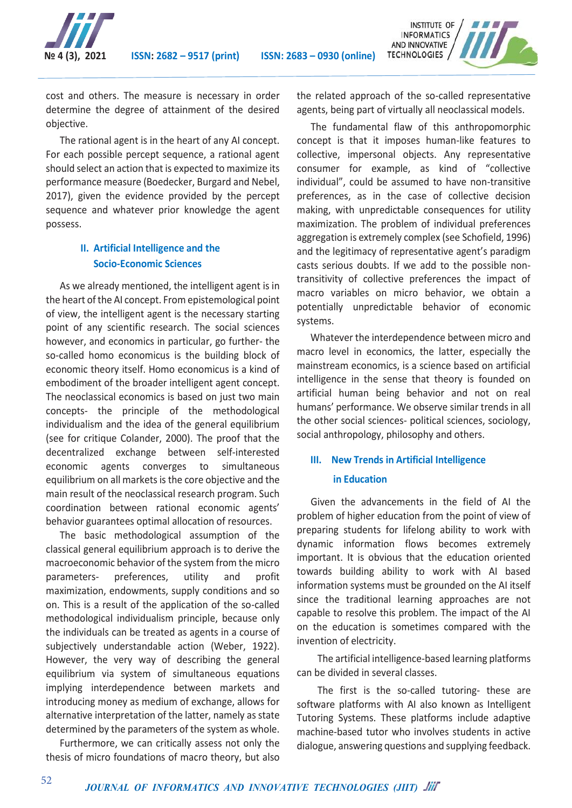



cost and others. The measure is necessary in order determine the degree of attainment of the desired objective.

The rational agent is in the heart of any AI concept. For each possible percept sequence, a rational agent should select an action that is expected to maximize its performance measure (Boedecker, Burgard and Nebel, 2017), given the evidence provided by the percept sequence and whatever prior knowledge the agent possess.

## **II. Artificial Intelligence and the Socio-Economic Sciences**

As we already mentioned, the intelligent agent is in the heart of the AI concept. From epistemological point of view, the intelligent agent is the necessary starting point of any scientific research. The social sciences however, and economics in particular, go further- the so-called homo economicus is the building block of economic theory itself. Homo economicus is a kind of embodiment of the broader intelligent agent concept. The neoclassical economics is based on just two main concepts- the principle of the methodological individualism and the idea of the general equilibrium (see for critique Colander, 2000). The proof that the decentralized exchange between self-interested economic agents converges to simultaneous equilibrium on all markets is the core objective and the main result of the neoclassical research program. Such coordination between rational economic agents' behavior guarantees optimal allocation of resources.

The basic methodological assumption of the classical general equilibrium approach is to derive the macroeconomic behavior of the system from the micro parameters- preferences, utility and profit maximization, endowments, supply conditions and so on. This is a result of the application of the so-called methodological individualism principle, because only the individuals can be treated as agents in a course of subjectively understandable action (Weber, 1922). However, the very way of describing the general equilibrium via system of simultaneous equations implying interdependence between markets and introducing money as medium of exchange, allows for alternative interpretation of the latter, namely as state determined by the parameters of the system as whole.

Furthermore, we can critically assess not only the thesis of micro foundations of macro theory, but also the related approach of the so-called representative agents, being part of virtually all neoclassical models.

The fundamental flaw of this anthropomorphic concept is that it imposes human-like features to collective, impersonal objects. Any representative consumer for example, as kind of "collective individual", could be assumed to have non-transitive preferences, as in the case of collective decision making, with unpredictable consequences for utility maximization. The problem of individual preferences aggregation is extremely complex (see Schofield, 1996) and the legitimacy of representative agent's paradigm casts serious doubts. If we add to the possible nontransitivity of collective preferences the impact of macro variables on micro behavior, we obtain a potentially unpredictable behavior of economic systems.

Whatever the interdependence between micro and macro level in economics, the latter, especially the mainstream economics, is a science based on artificial intelligence in the sense that theory is founded on artificial human being behavior and not on real humans' performance. We observe similar trends in all the other social sciences- political sciences, sociology, social anthropology, philosophy and others.

# **III. New Trends in Artificial Intelligence in Education**

Given the advancements in the field of AI the problem of higher education from the point of view of preparing students for lifelong ability to work with dynamic information flows becomes extremely important. It is obvious that the education oriented towards building ability to work with AI based information systems must be grounded on the AI itself since the traditional learning approaches are not capable to resolve this problem. The impact of the AI on the education is sometimes compared with the invention of electricity.

The artificial intelligence-based learning platforms can be divided in several classes.

The first is the so-called tutoring- these are software platforms with AI also known as Intelligent Tutoring Systems. These platforms include adaptive machine-based tutor who involves students in active dialogue, answering questions and supplying feedback.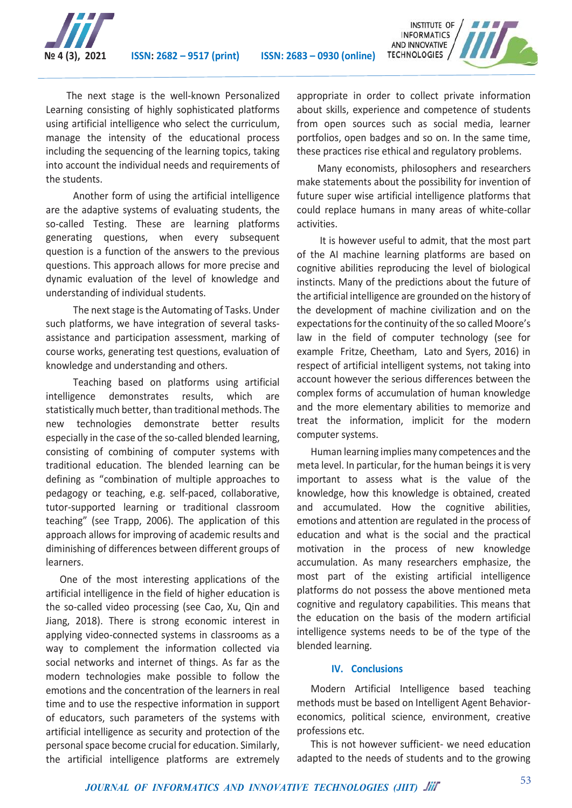

**№ 4 (3), 2021 ISSN: 2682 – 9517 (print) ISSN: 2683 – 0930 (online)**



The next stage is the well-known Personalized Learning consisting of highly sophisticated platforms using artificial intelligence who select the curriculum, manage the intensity of the educational process including the sequencing of the learning topics, taking into account the individual needs and requirements of the students.

Another form of using the artificial intelligence are the adaptive systems of evaluating students, the so-called Testing. These are learning platforms generating questions, when every subsequent question is a function of the answers to the previous questions. This approach allows for more precise and dynamic evaluation of the level of knowledge and understanding of individual students.

The next stage is the Automating of Tasks. Under such platforms, we have integration of several tasksassistance and participation assessment, marking of course works, generating test questions, evaluation of knowledge and understanding and others.

Teaching based on platforms using artificial intelligence demonstrates results, which are statistically much better, than traditional methods. The new technologies demonstrate better results especially in the case of the so-called blended learning, consisting of combining of computer systems with traditional education. The blended learning can be defining as "combination of multiple approaches to pedagogy or teaching, e.g. self-paced, collaborative, tutor-supported learning or traditional classroom teaching" (see Trapp, 2006). The application of this approach allows for improving of academic results and diminishing of differences between different groups of learners.

One of the most interesting applications of the artificial intelligence in the field of higher education is the so-called video processing (see Cao, Xu, Qin and Jiang, 2018). There is strong economic interest in applying video-connected systems in classrooms as a way to complement the information collected via social networks and internet of things. As far as the modern technologies make possible to follow the emotions and the concentration of the learners in real time and to use the respective information in support of educators, such parameters of the systems with artificial intelligence as security and protection of the personal space become crucial for education. Similarly, the artificial intelligence platforms are extremely

appropriate in order to collect private information about skills, experience and competence of students from open sources such as social media, learner portfolios, open badges and so on. In the same time, these practices rise ethical and regulatory problems.

Many economists, philosophers and researchers make statements about the possibility for invention of future super wise artificial intelligence platforms that could replace humans in many areas of white-collar activities.

It is however useful to admit, that the most part of the AI machine learning platforms are based on cognitive abilities reproducing the level of biological instincts. Many of the predictions about the future of the artificial intelligence are grounded on the history of the development of machine civilization and on the expectations for the continuity of the so called Moore's law in the field of computer technology (see for example Fritze, Cheetham, Lato and Syers, 2016) in respect of artificial intelligent systems, not taking into account however the serious differences between the complex forms of accumulation of human knowledge and the more elementary abilities to memorize and treat the information, implicit for the modern computer systems.

Human learning implies many competences and the meta level. In particular, for the human beings it is very important to assess what is the value of the knowledge, how this knowledge is obtained, created and accumulated. How the cognitive abilities, emotions and attention are regulated in the process of education and what is the social and the practical motivation in the process of new knowledge accumulation. As many researchers emphasize, the most part of the existing artificial intelligence platforms do not possess the above mentioned meta cognitive and regulatory capabilities. This means that the education on the basis of the modern artificial intelligence systems needs to be of the type of the blended learning.

#### **IV. Conclusions**

Modern Artificial Intelligence based teaching methods must be based on Intelligent Agent Behavioreconomics, political science, environment, creative professions etc.

This is not however sufficient- we need education adapted to the needs of students and to the growing